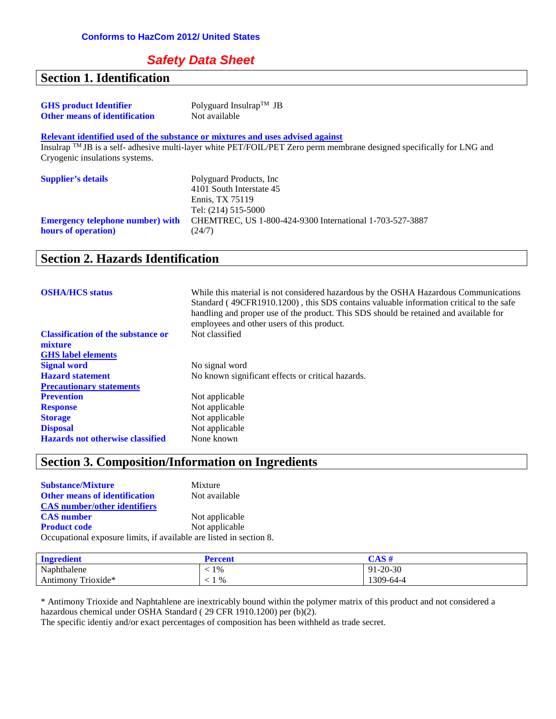## *Safety Data Sheet*

#### **Section 1. Identification GHS product Identifier** Polyguard Insulrap<sup>TM</sup> JB<br> **Other means of identification** Not available **Other means of identification Relevant identified used of the substance or mixtures and uses advised against** Insulrap TM JB is a self- adhesive multi-layer white PET/FOIL/PET Zero perm membrane designed specifically for LNG and Cryogenic insulations systems. **Supplier's details** Polyguard Products, Inc 4101 South Interstate 45 Ennis, TX 75119 Tel: (214) 515-5000 **Emergency telephone number) with hours of operation)** CHEMTREC, US 1-800-424-9300 International 1-703-527-3887 (24/7)

## **Section 2. Hazards Identification**

| <b>OSHA/HCS</b> status                    | While this material is not considered hazardous by the OSHA Hazardous Communications<br>Standard (49CFR1910.1200), this SDS contains valuable information critical to the safe<br>handling and proper use of the product. This SDS should be retained and available for<br>employees and other users of this product. |
|-------------------------------------------|-----------------------------------------------------------------------------------------------------------------------------------------------------------------------------------------------------------------------------------------------------------------------------------------------------------------------|
| <b>Classification of the substance or</b> | Not classified                                                                                                                                                                                                                                                                                                        |
| mixture                                   |                                                                                                                                                                                                                                                                                                                       |
| <b>GHS</b> label elements                 |                                                                                                                                                                                                                                                                                                                       |
| <b>Signal word</b>                        | No signal word                                                                                                                                                                                                                                                                                                        |
| <b>Hazard statement</b>                   | No known significant effects or critical hazards.                                                                                                                                                                                                                                                                     |
| <b>Precautionary statements</b>           |                                                                                                                                                                                                                                                                                                                       |
| <b>Prevention</b>                         | Not applicable                                                                                                                                                                                                                                                                                                        |
| <b>Response</b>                           | Not applicable                                                                                                                                                                                                                                                                                                        |
| <b>Storage</b>                            | Not applicable                                                                                                                                                                                                                                                                                                        |
| <b>Disposal</b>                           | Not applicable                                                                                                                                                                                                                                                                                                        |
| <b>Hazards not otherwise classified</b>   | None known                                                                                                                                                                                                                                                                                                            |

### **Section 3. Composition/Information on Ingredients**

| <b>Substance/Mixture</b>                                            | Mixture        |
|---------------------------------------------------------------------|----------------|
| <b>Other means of identification</b>                                | Not available  |
| <b>CAS</b> number/other identifiers                                 |                |
| <b>CAS</b> number                                                   | Not applicable |
| <b>Product code</b>                                                 | Not applicable |
| Occupational exposure limits, if available are listed in section 8. |                |

| <b>Ingredient</b>     | ercent            | 718H                            |
|-----------------------|-------------------|---------------------------------|
| Naphthalene           | 1%                | $1 - 20 - 30$<br>Q <sub>1</sub> |
| Trioxide*<br>Antimony | %<br>$\mathbf{r}$ | 1309-64-4                       |

\* Antimony Trioxide and Naphtahlene are inextricably bound within the polymer matrix of this product and not considered a hazardous chemical under OSHA Standard ( 29 CFR 1910.1200) per (b)(2).

The specific identiy and/or exact percentages of composition has been withheld as trade secret.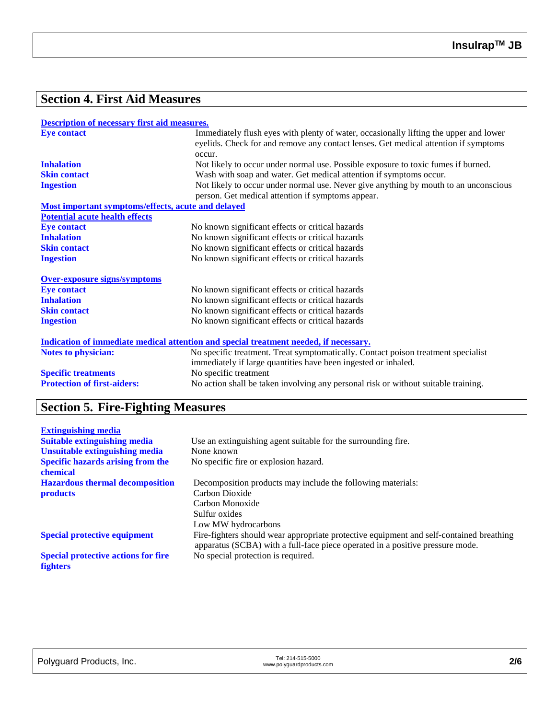## **Section 4. First Aid Measures**

#### **Description of necessary first aid measures.**

| <b>Eve contact</b>                                                                    | Immediately flush eyes with plenty of water, occasionally lifting the upper and lower<br>eyelids. Check for and remove any contact lenses. Get medical attention if symptoms |  |
|---------------------------------------------------------------------------------------|------------------------------------------------------------------------------------------------------------------------------------------------------------------------------|--|
|                                                                                       | occur.                                                                                                                                                                       |  |
| <b>Inhalation</b>                                                                     | Not likely to occur under normal use. Possible exposure to toxic fumes if burned.                                                                                            |  |
| <b>Skin contact</b>                                                                   | Wash with soap and water. Get medical attention if symptoms occur.                                                                                                           |  |
| <b>Ingestion</b>                                                                      | Not likely to occur under normal use. Never give anything by mouth to an unconscious                                                                                         |  |
|                                                                                       | person. Get medical attention if symptoms appear.                                                                                                                            |  |
| Most important symptoms/effects, acute and delayed                                    |                                                                                                                                                                              |  |
| <b>Potential acute health effects</b>                                                 |                                                                                                                                                                              |  |
| <b>Eye contact</b>                                                                    | No known significant effects or critical hazards                                                                                                                             |  |
| <b>Inhalation</b>                                                                     | No known significant effects or critical hazards                                                                                                                             |  |
| <b>Skin contact</b>                                                                   | No known significant effects or critical hazards                                                                                                                             |  |
| <b>Ingestion</b>                                                                      | No known significant effects or critical hazards                                                                                                                             |  |
| <b>Over-exposure signs/symptoms</b>                                                   |                                                                                                                                                                              |  |
| <b>Eye contact</b>                                                                    | No known significant effects or critical hazards                                                                                                                             |  |
| <b>Inhalation</b>                                                                     | No known significant effects or critical hazards                                                                                                                             |  |
| <b>Skin contact</b>                                                                   | No known significant effects or critical hazards                                                                                                                             |  |
| <b>Ingestion</b>                                                                      | No known significant effects or critical hazards                                                                                                                             |  |
| Indication of immediate medical attention and special treatment needed, if necessary. |                                                                                                                                                                              |  |
| <b>Notes to physician:</b>                                                            | No specific treatment. Treat symptomatically. Contact poison treatment specialist                                                                                            |  |
|                                                                                       | immediately if large quantities have been ingested or inhaled.                                                                                                               |  |
| <b>Specific treatments</b>                                                            | No specific treatment                                                                                                                                                        |  |
| <b>Protection of first-aiders:</b>                                                    | No action shall be taken involving any personal risk or without suitable training.                                                                                           |  |

## **Section 5. Fire-Fighting Measures**

| <b>Extinguishing media</b>                 |                                                                                                                                                                          |
|--------------------------------------------|--------------------------------------------------------------------------------------------------------------------------------------------------------------------------|
| <b>Suitable extinguishing media</b>        | Use an extinguishing agent suitable for the surrounding fire.                                                                                                            |
| <b>Unsuitable extinguishing media</b>      | None known                                                                                                                                                               |
| <b>Specific hazards arising from the</b>   | No specific fire or explosion hazard.                                                                                                                                    |
| chemical                                   |                                                                                                                                                                          |
| <b>Hazardous thermal decomposition</b>     | Decomposition products may include the following materials:                                                                                                              |
| <b>products</b>                            | Carbon Dioxide                                                                                                                                                           |
|                                            | Carbon Monoxide                                                                                                                                                          |
|                                            | Sulfur oxides                                                                                                                                                            |
|                                            | Low MW hydrocarbons                                                                                                                                                      |
| <b>Special protective equipment</b>        | Fire-fighters should wear appropriate protective equipment and self-contained breathing<br>apparatus (SCBA) with a full-face piece operated in a positive pressure mode. |
| <b>Special protective actions for fire</b> | No special protection is required.                                                                                                                                       |
| <b>fighters</b>                            |                                                                                                                                                                          |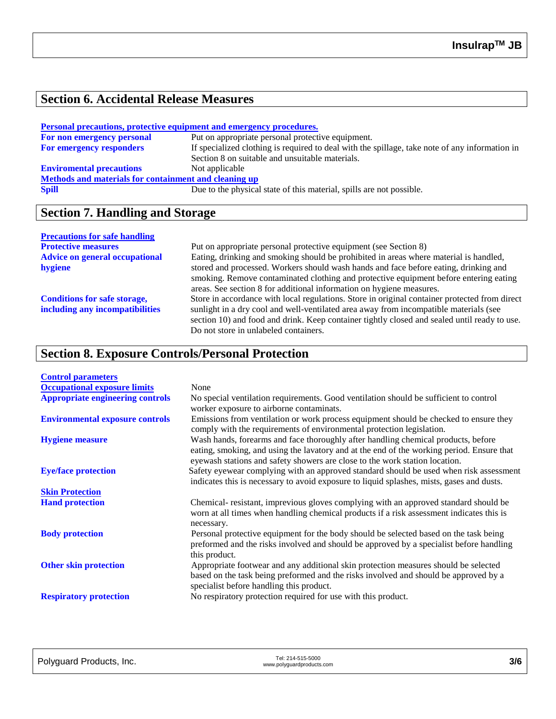## **Section 6. Accidental Release Measures**

| Personal precautions, protective equipment and emergency procedures. |                                                                                                                                                   |  |
|----------------------------------------------------------------------|---------------------------------------------------------------------------------------------------------------------------------------------------|--|
| For non emergency personal                                           | Put on appropriate personal protective equipment.                                                                                                 |  |
| <b>For emergency responders</b>                                      | If specialized clothing is required to deal with the spillage, take note of any information in<br>Section 8 on suitable and unsuitable materials. |  |
| <b>Enviromental precautions</b>                                      | Not applicable                                                                                                                                    |  |
| Methods and materials for containment and cleaning up                |                                                                                                                                                   |  |
| <b>Spill</b>                                                         | Due to the physical state of this material, spills are not possible.                                                                              |  |

## **Section 7. Handling and Storage**

#### **Precautions for safe handling**

| Put on appropriate personal protective equipment (see Section 8)                              |
|-----------------------------------------------------------------------------------------------|
| Eating, drinking and smoking should be prohibited in areas where material is handled,         |
| stored and processed. Workers should wash hands and face before eating, drinking and          |
| smoking. Remove contaminated clothing and protective equipment before entering eating         |
| areas. See section 8 for additional information on hygiene measures.                          |
| Store in accordance with local regulations. Store in original container protected from direct |
| sunlight in a dry cool and well-ventilated area away from incompatible materials (see         |
| section 10) and food and drink. Keep container tightly closed and sealed until ready to use.  |
| Do not store in unlabeled containers.                                                         |
|                                                                                               |

## **Section 8. Exposure Controls/Personal Protection**

| <b>Control parameters</b>               |                                                                                                                                                                                                                                                               |
|-----------------------------------------|---------------------------------------------------------------------------------------------------------------------------------------------------------------------------------------------------------------------------------------------------------------|
| <b>Occupational exposure limits</b>     | None                                                                                                                                                                                                                                                          |
| <b>Appropriate engineering controls</b> | No special ventilation requirements. Good ventilation should be sufficient to control<br>worker exposure to airborne contaminats.                                                                                                                             |
| <b>Environmental exposure controls</b>  | Emissions from ventilation or work process equipment should be checked to ensure they<br>comply with the requirements of environmental protection legislation.                                                                                                |
| <b>Hygiene measure</b>                  | Wash hands, forearms and face thoroughly after handling chemical products, before<br>eating, smoking, and using the lavatory and at the end of the working period. Ensure that<br>eyewash stations and safety showers are close to the work station location. |
| <b>Eye/face protection</b>              | Safety eyewear complying with an approved standard should be used when risk assessment<br>indicates this is necessary to avoid exposure to liquid splashes, mists, gases and dusts.                                                                           |
| <b>Skin Protection</b>                  |                                                                                                                                                                                                                                                               |
| <b>Hand protection</b>                  | Chemical-resistant, imprevious gloves complying with an approved standard should be<br>worn at all times when handling chemical products if a risk assessment indicates this is<br>necessary.                                                                 |
| <b>Body protection</b>                  | Personal protective equipment for the body should be selected based on the task being<br>preformed and the risks involved and should be approved by a specialist before handling<br>this product.                                                             |
| <b>Other skin protection</b>            | Appropriate footwear and any additional skin protection measures should be selected<br>based on the task being preformed and the risks involved and should be approved by a<br>specialist before handling this product.                                       |
| <b>Respiratory protection</b>           | No respiratory protection required for use with this product.                                                                                                                                                                                                 |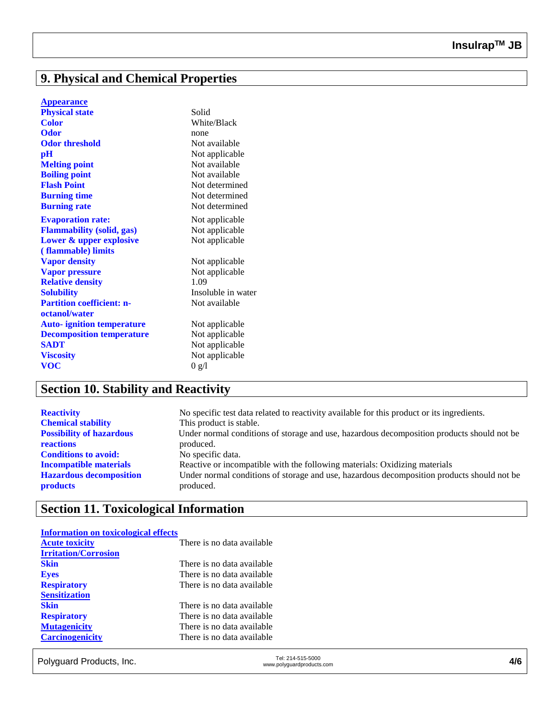## **9. Physical and Chemical Properties**

|  | <b>Appear<u>ance</u></b> |  |  |
|--|--------------------------|--|--|
|  |                          |  |  |

| White/Black<br><b>Color</b><br><b>Odor</b><br>none<br><b>Odor threshold</b><br>Not available<br>$\mathbf{p}$ H<br>Not applicable<br>Not available<br><b>Melting point</b><br><b>Boiling point</b><br>Not available<br><b>Flash Point</b><br>Not determined<br><b>Burning time</b><br>Not determined<br><b>Burning rate</b><br>Not determined<br><b>Evaporation rate:</b><br>Not applicable<br><b>Flammability (solid, gas)</b><br>Not applicable<br>Lower & upper explosive<br>Not applicable<br>(flammable) limits<br><b>Vapor density</b><br>Not applicable<br><b>Vapor pressure</b><br>Not applicable<br>1.09<br><b>Relative density</b><br><b>Solubility</b><br>Insoluble in water<br><b>Partition coefficient: n-</b><br>Not available<br>octanol/water<br><b>Auto-</b> ignition temperature<br>Not applicable<br><b>Decomposition temperature</b><br>Not applicable<br><b>SADT</b><br>Not applicable<br>Not applicable<br><b>Viscosity</b><br><b>VOC</b> | <b>Physical state</b> | Solid |
|----------------------------------------------------------------------------------------------------------------------------------------------------------------------------------------------------------------------------------------------------------------------------------------------------------------------------------------------------------------------------------------------------------------------------------------------------------------------------------------------------------------------------------------------------------------------------------------------------------------------------------------------------------------------------------------------------------------------------------------------------------------------------------------------------------------------------------------------------------------------------------------------------------------------------------------------------------------|-----------------------|-------|
|                                                                                                                                                                                                                                                                                                                                                                                                                                                                                                                                                                                                                                                                                                                                                                                                                                                                                                                                                                |                       |       |
|                                                                                                                                                                                                                                                                                                                                                                                                                                                                                                                                                                                                                                                                                                                                                                                                                                                                                                                                                                |                       |       |
|                                                                                                                                                                                                                                                                                                                                                                                                                                                                                                                                                                                                                                                                                                                                                                                                                                                                                                                                                                |                       |       |
|                                                                                                                                                                                                                                                                                                                                                                                                                                                                                                                                                                                                                                                                                                                                                                                                                                                                                                                                                                |                       |       |
|                                                                                                                                                                                                                                                                                                                                                                                                                                                                                                                                                                                                                                                                                                                                                                                                                                                                                                                                                                |                       |       |
|                                                                                                                                                                                                                                                                                                                                                                                                                                                                                                                                                                                                                                                                                                                                                                                                                                                                                                                                                                |                       |       |
|                                                                                                                                                                                                                                                                                                                                                                                                                                                                                                                                                                                                                                                                                                                                                                                                                                                                                                                                                                |                       |       |
|                                                                                                                                                                                                                                                                                                                                                                                                                                                                                                                                                                                                                                                                                                                                                                                                                                                                                                                                                                |                       |       |
|                                                                                                                                                                                                                                                                                                                                                                                                                                                                                                                                                                                                                                                                                                                                                                                                                                                                                                                                                                |                       |       |
|                                                                                                                                                                                                                                                                                                                                                                                                                                                                                                                                                                                                                                                                                                                                                                                                                                                                                                                                                                |                       |       |
|                                                                                                                                                                                                                                                                                                                                                                                                                                                                                                                                                                                                                                                                                                                                                                                                                                                                                                                                                                |                       |       |
|                                                                                                                                                                                                                                                                                                                                                                                                                                                                                                                                                                                                                                                                                                                                                                                                                                                                                                                                                                |                       |       |
|                                                                                                                                                                                                                                                                                                                                                                                                                                                                                                                                                                                                                                                                                                                                                                                                                                                                                                                                                                |                       |       |
|                                                                                                                                                                                                                                                                                                                                                                                                                                                                                                                                                                                                                                                                                                                                                                                                                                                                                                                                                                |                       |       |
|                                                                                                                                                                                                                                                                                                                                                                                                                                                                                                                                                                                                                                                                                                                                                                                                                                                                                                                                                                |                       |       |
|                                                                                                                                                                                                                                                                                                                                                                                                                                                                                                                                                                                                                                                                                                                                                                                                                                                                                                                                                                |                       |       |
|                                                                                                                                                                                                                                                                                                                                                                                                                                                                                                                                                                                                                                                                                                                                                                                                                                                                                                                                                                |                       |       |
|                                                                                                                                                                                                                                                                                                                                                                                                                                                                                                                                                                                                                                                                                                                                                                                                                                                                                                                                                                |                       |       |
|                                                                                                                                                                                                                                                                                                                                                                                                                                                                                                                                                                                                                                                                                                                                                                                                                                                                                                                                                                |                       |       |
|                                                                                                                                                                                                                                                                                                                                                                                                                                                                                                                                                                                                                                                                                                                                                                                                                                                                                                                                                                |                       |       |
|                                                                                                                                                                                                                                                                                                                                                                                                                                                                                                                                                                                                                                                                                                                                                                                                                                                                                                                                                                |                       |       |
|                                                                                                                                                                                                                                                                                                                                                                                                                                                                                                                                                                                                                                                                                                                                                                                                                                                                                                                                                                |                       |       |
|                                                                                                                                                                                                                                                                                                                                                                                                                                                                                                                                                                                                                                                                                                                                                                                                                                                                                                                                                                |                       | 0 g/l |

## **Section 10. Stability and Reactivity**

| <b>Reactivity</b>               | No specific test data related to reactivity available for this product or its ingredients. |
|---------------------------------|--------------------------------------------------------------------------------------------|
| <b>Chemical stability</b>       | This product is stable.                                                                    |
| <b>Possibility of hazardous</b> | Under normal conditions of storage and use, hazardous decomposition products should not be |
| <b>reactions</b>                | produced.                                                                                  |
| <b>Conditions to avoid:</b>     | No specific data.                                                                          |
| <b>Incompatible materials</b>   | Reactive or incompatible with the following materials: Oxidizing materials                 |
| <b>Hazardous decomposition</b>  | Under normal conditions of storage and use, hazardous decomposition products should not be |
| <b>products</b>                 | produced.                                                                                  |

## **Section 11. Toxicological Information**

| <b>Information on toxicological effects</b> |                            |
|---------------------------------------------|----------------------------|
| <b>Acute toxicity</b>                       | There is no data available |
| <b>Irritation/Corrosion</b>                 |                            |
| <b>Skin</b>                                 | There is no data available |
| <b>Eyes</b>                                 | There is no data available |
| <b>Respiratory</b>                          | There is no data available |
| <b>Sensitization</b>                        |                            |
| <b>Skin</b>                                 | There is no data available |
| <b>Respiratory</b>                          | There is no data available |
| <b>Mutagenicity</b>                         | There is no data available |
| <b>Carcinogenicity</b>                      | There is no data available |
|                                             |                            |

Tel: 214-515-5000<br>www.polyguard Products, Inc. Tel: 214-515-5000 Tel: 214-515-5000<br>www.polyguardproducts.com **4/6**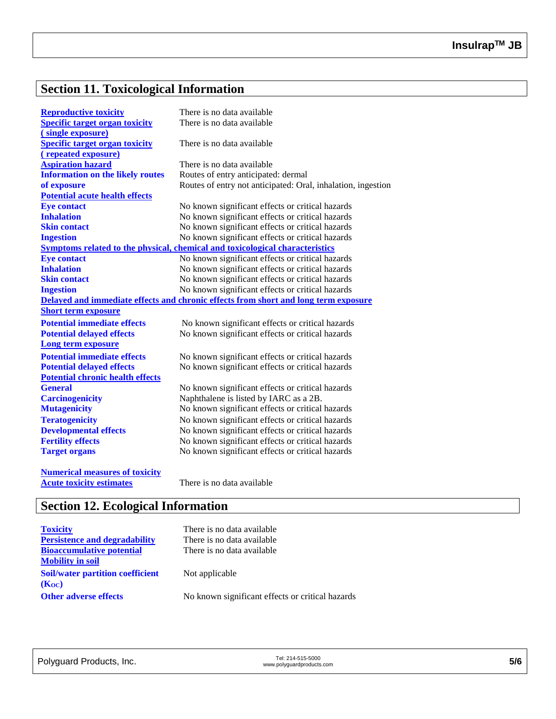# **Section 11. Toxicological Information**

| <b>Reproductive toxicity</b>            | There is no data available                                                          |
|-----------------------------------------|-------------------------------------------------------------------------------------|
| <b>Specific target organ toxicity</b>   | There is no data available                                                          |
| (single exposure)                       |                                                                                     |
| <b>Specific target organ toxicity</b>   | There is no data available                                                          |
| (repeated exposure)                     |                                                                                     |
| <b>Aspiration hazard</b>                | There is no data available                                                          |
| <b>Information on the likely routes</b> | Routes of entry anticipated: dermal                                                 |
| of exposure                             | Routes of entry not anticipated: Oral, inhalation, ingestion                        |
| <b>Potential acute health effects</b>   |                                                                                     |
| <b>Eye contact</b>                      | No known significant effects or critical hazards                                    |
| <b>Inhalation</b>                       | No known significant effects or critical hazards                                    |
| <b>Skin contact</b>                     | No known significant effects or critical hazards                                    |
| <b>Ingestion</b>                        | No known significant effects or critical hazards                                    |
|                                         | Symptoms related to the physical, chemical and toxicological characteristics        |
| <b>Eye contact</b>                      | No known significant effects or critical hazards                                    |
| <b>Inhalation</b>                       | No known significant effects or critical hazards                                    |
| <b>Skin contact</b>                     | No known significant effects or critical hazards                                    |
| <b>Ingestion</b>                        | No known significant effects or critical hazards                                    |
|                                         | Delayed and immediate effects and chronic effects from short and long term exposure |
| <b>Short term exposure</b>              |                                                                                     |
| <b>Potential immediate effects</b>      | No known significant effects or critical hazards                                    |
| <b>Potential delayed effects</b>        | No known significant effects or critical hazards                                    |
| Long term exposure                      |                                                                                     |
| <b>Potential immediate effects</b>      | No known significant effects or critical hazards                                    |
| <b>Potential delayed effects</b>        | No known significant effects or critical hazards                                    |
| <b>Potential chronic health effects</b> |                                                                                     |
| <b>General</b>                          | No known significant effects or critical hazards                                    |
| <b>Carcinogenicity</b>                  | Naphthalene is listed by IARC as a 2B.                                              |
| <b>Mutagenicity</b>                     | No known significant effects or critical hazards                                    |
| <b>Teratogenicity</b>                   | No known significant effects or critical hazards                                    |
| <b>Developmental effects</b>            | No known significant effects or critical hazards                                    |
| <b>Fertility effects</b>                | No known significant effects or critical hazards                                    |
| <b>Target organs</b>                    | No known significant effects or critical hazards                                    |
| <b>Numerical measures of toxicity</b>   |                                                                                     |
| <b>Acute toxicity estimates</b>         | There is no data available                                                          |

# **Section 12. Ecological Information**

| <b>Toxicity</b>                         | There is no data available                       |
|-----------------------------------------|--------------------------------------------------|
| <b>Persistence and degradability</b>    | There is no data available                       |
| <b>Bioaccumulative potential</b>        | There is no data available                       |
| <b>Mobility in soil</b>                 |                                                  |
| <b>Soil/water partition coefficient</b> | Not applicable                                   |
| (Koc)                                   |                                                  |
| <b>Other adverse effects</b>            | No known significant effects or critical hazards |
|                                         |                                                  |

| Polyguard Products, Inc. | Tel: 214-515-5000         | 5/6 |
|--------------------------|---------------------------|-----|
|                          | www.polyguardproducts.com |     |